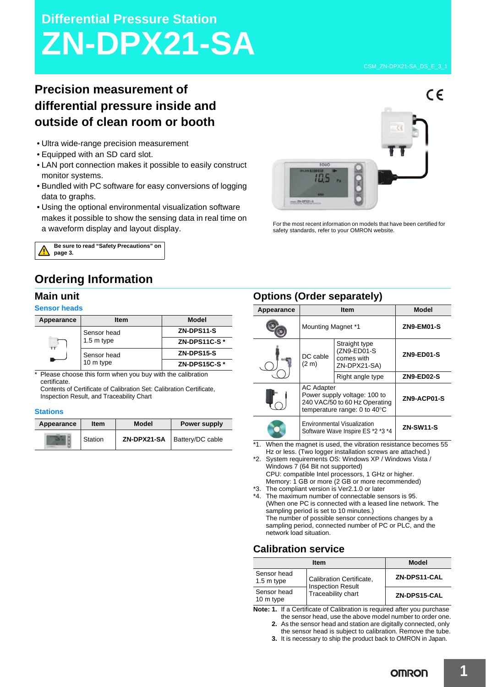# **Differential Pressure Station ZN-DPX21-SA**

## **Precision measurement of differential pressure inside and outside of clean room or booth**

- Ultra wide-range precision measurement
- Equipped with an SD card slot.
- LAN port connection makes it possible to easily construct monitor systems.
- Bundled with PC software for easy conversions of logging data to graphs.
- Using the optional environmental visualization software makes it possible to show the sensing data in real time on a waveform display and layout display.



For the most recent information on models that have been certified for safety standards, refer to your OMRON website.



### **Ordering Information**

### **Main unit**

### **Sensor heads**

| Appearance | <b>Item</b>               | <b>Model</b>  |
|------------|---------------------------|---------------|
|            | Sensor head<br>1.5 m type | ZN-DPS11-S    |
|            |                           | ZN-DPS11C-S*  |
|            | Sensor head<br>10 m type  | ZN-DPS15-S    |
|            |                           | ZN-DPS15C-S * |

\* Please choose this form when you buy with the calibration certificate.

Contents of Certificate of Calibration Set: Calibration Certificate, Inspection Result, and Traceability Chart

#### **Stations**

| Appearance | <b>Item</b> | <b>Model</b> | <b>Power supply</b>            |
|------------|-------------|--------------|--------------------------------|
|            | Station     |              | ZN-DPX21-SA   Battery/DC cable |

### **Options (Order separately)**

| $\sim$ puono (Oruer separatery) |                                                                                                                              |                                                            |                   |
|---------------------------------|------------------------------------------------------------------------------------------------------------------------------|------------------------------------------------------------|-------------------|
| Appearance                      | <b>Item</b>                                                                                                                  |                                                            | <b>Model</b>      |
|                                 | Mounting Magnet *1                                                                                                           |                                                            | ZN9-EM01-S        |
|                                 | DC cable<br>(2 <sub>m</sub> )                                                                                                | Straight type<br>(ZN9-ED01-S<br>comes with<br>ZN-DPX21-SA) | ZN9-ED01-S        |
|                                 |                                                                                                                              | Right angle type                                           | <b>ZN9-ED02-S</b> |
|                                 | <b>AC Adapter</b><br>Power supply voltage: 100 to<br>240 VAC/50 to 60 Hz Operating<br>temperature range: 0 to $40^{\circ}$ C |                                                            | ZN9-ACP01-S       |
|                                 | <b>Environmental Visualization</b><br>Software Wave Inspire ES *2 *3 *4                                                      |                                                            | <b>ZN-SW11-S</b>  |

\*1. When the magnet is used, the vibration resistance becomes 55 Hz or less. (Two logger installation screws are attached.)

\*2. System requirements OS: Windows XP / Windows Vista / Windows 7 (64 Bit not supported) CPU: compatible Intel processors, 1 GHz or higher. Memory: 1 GB or more (2 GB or more recommended)

\*3. The compliant version is Ver2.1.0 or later

\*4. The maximum number of connectable sensors is 95. (When one PC is connected with a leased line network. The sampling period is set to 10 minutes.) The number of possible sensor connections changes by a sampling period, connected number of PC or PLC, and the network load situation.

### **Calibration service**

| <b>Item</b>                |                                                                            | <b>Model</b> |
|----------------------------|----------------------------------------------------------------------------|--------------|
| Sensor head<br>$1.5m$ type | Calibration Certificate,<br><b>Inspection Result</b><br>Traceability chart | ZN-DPS11-CAL |
| Sensor head<br>10 m type   |                                                                            | ZN-DPS15-CAL |

**Note: 1.** If a Certificate of Calibration is required after you purchase the sensor head, use the above model number to order one.

**2.** As the sensor head and station are digitally connected, only the sensor head is subject to calibration. Remove the tube.

**3.** It is necessary to ship the product back to OMRON in Japan.

**OMRON**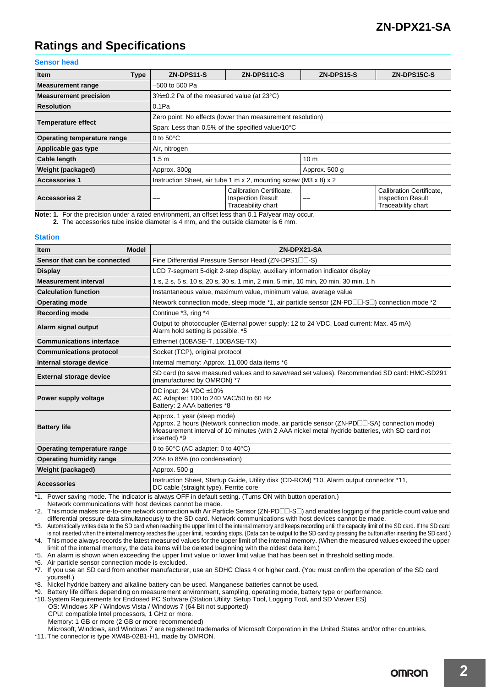### **Ratings and Specifications**

### **Sensor head**

| <b>Item</b><br><b>Type</b>   | ZN-DPS11-S                                                              | ZN-DPS11C-S                                                                | ZN-DPS15-S      | ZN-DPS15C-S                                                                |
|------------------------------|-------------------------------------------------------------------------|----------------------------------------------------------------------------|-----------------|----------------------------------------------------------------------------|
| <b>Measurement range</b>     | –500 to 500 Pa                                                          |                                                                            |                 |                                                                            |
| <b>Measurement precision</b> | $3\% \pm 0.2$ Pa of the measured value (at 23 $\degree$ C)              |                                                                            |                 |                                                                            |
| <b>Resolution</b>            | 0.1Pa                                                                   |                                                                            |                 |                                                                            |
| <b>Temperature effect</b>    | Zero point: No effects (lower than measurement resolution)              |                                                                            |                 |                                                                            |
|                              | Span: Less than 0.5% of the specified value/10°C                        |                                                                            |                 |                                                                            |
| Operating temperature range  | 0 to $50^{\circ}$ C                                                     |                                                                            |                 |                                                                            |
| Applicable gas type          | Air, nitrogen                                                           |                                                                            |                 |                                                                            |
| Cable length                 | 1.5 <sub>m</sub>                                                        |                                                                            | 10 <sub>m</sub> |                                                                            |
| Weight (packaged)            | Approx. 300g                                                            |                                                                            | Approx. 500 g   |                                                                            |
| <b>Accessories 1</b>         | Instruction Sheet, air tube 1 m x 2, mounting screw (M3 x 8) $\times$ 2 |                                                                            |                 |                                                                            |
| <b>Accessories 2</b>         |                                                                         | Calibration Certificate.<br><b>Inspection Result</b><br>Traceability chart |                 | Calibration Certificate.<br><b>Inspection Result</b><br>Traceability chart |

**Note: 1.** For the precision under a rated environment, an offset less than 0.1 Pa/year may occur.

**2.** The accessories tube inside diameter is 4 mm, and the outside diameter is 6 mm.

#### **Station**

| <b>Model</b><br><b>Item</b>     | ZN-DPX21-SA                                                                                                                                                                                                                                   |  |
|---------------------------------|-----------------------------------------------------------------------------------------------------------------------------------------------------------------------------------------------------------------------------------------------|--|
| Sensor that can be connected    | Fine Differential Pressure Sensor Head (ZN-DPS1 $\square$ -S)                                                                                                                                                                                 |  |
| <b>Display</b>                  | LCD 7-segment 5-digit 2-step display, auxiliary information indicator display                                                                                                                                                                 |  |
| <b>Measurement interval</b>     | 1 s, 2 s, 5 s, 10 s, 20 s, 30 s, 1 min, 2 min, 5 min, 10 min, 20 min, 30 min, 1 h                                                                                                                                                             |  |
| <b>Calculation function</b>     | Instantaneous value, maximum value, minimum value, average value                                                                                                                                                                              |  |
| <b>Operating mode</b>           | Network connection mode, sleep mode *1, air particle sensor (ZN-PD $\Box\Box$ -S $\Box$ ) connection mode *2                                                                                                                                  |  |
| <b>Recording mode</b>           | Continue *3, ring *4                                                                                                                                                                                                                          |  |
| Alarm signal output             | Output to photocoupler (External power supply: 12 to 24 VDC, Load current: Max. 45 mA)<br>Alarm hold setting is possible. *5                                                                                                                  |  |
| <b>Communications interface</b> | Ethernet (10BASE-T, 100BASE-TX)                                                                                                                                                                                                               |  |
| <b>Communications protocol</b>  | Socket (TCP), original protocol                                                                                                                                                                                                               |  |
| Internal storage device         | Internal memory: Approx. 11,000 data items *6                                                                                                                                                                                                 |  |
| <b>External storage device</b>  | SD card (to save measured values and to save/read set values), Recommended SD card: HMC-SD291<br>(manufactured by OMRON) *7                                                                                                                   |  |
| Power supply voltage            | DC input: 24 VDC $\pm 10\%$<br>AC Adapter: 100 to 240 VAC/50 to 60 Hz<br>Battery: 2 AAA batteries *8                                                                                                                                          |  |
| <b>Battery life</b>             | Approx. 1 year (sleep mode)<br>Approx. 2 hours (Network connection mode, air particle sensor (ZN-PD□□-SA) connection mode)<br>Measurement interval of 10 minutes (with 2 AAA nickel metal hydride batteries, with SD card not<br>inserted) *9 |  |
| Operating temperature range     | 0 to 60 $\degree$ C (AC adapter: 0 to 40 $\degree$ C)                                                                                                                                                                                         |  |
| Operating humidity range        | 20% to 85% (no condensation)                                                                                                                                                                                                                  |  |
| Weight (packaged)               | Approx. 500 q                                                                                                                                                                                                                                 |  |
| <b>Accessories</b>              | Instruction Sheet, Startup Guide, Utility disk (CD-ROM) *10, Alarm output connector *11,<br>DC cable (straight type), Ferrite core                                                                                                            |  |

\*1. Power saving mode. The indicator is always OFF in default setting. (Turns ON with button operation.)

Network communications with host devices cannot be made.

\*2. This mode makes one-to-one network connection with Air Particle Sensor (ZN-PDII-SI) and enables logging of the particle count value and differential pressure data simultaneously to the SD card. Network communications with host devices cannot be made.

\*3. Automatically writes data to the SD card when reaching the upper limit of the internal memory and keeps recording until the capacity limit of the SD card. If the SD card is not inserted when the internal memory reaches the upper limit, recording stops. (Data can be output to the SD card by pressing the button after inserting the SD card.) \*4. This mode always records the latest measured values for the upper limit of the internal memory. (When the measured values exceed the upper limit of the internal memory, the data items will be deleted beginning with the oldest data item.)

\*5. An alarm is shown when exceeding the upper limit value or lower limit value that has been set in threshold setting mode.

\*6. Air particle sensor connection mode is excluded.

\*7. If you use an SD card from another manufacturer, use an SDHC Class 4 or higher card. (You must confirm the operation of the SD card yourself.)

\*8. Nickel hydride battery and alkaline battery can be used. Manganese batteries cannot be used.

\*9. Battery life differs depending on measurement environment, sampling, operating mode, battery type or performance.

\*10. System Requirements for Enclosed PC Software (Station Utility: Setup Tool, Logging Tool, and SD Viewer ES) OS: Windows XP / Windows Vista / Windows 7 (64 Bit not supported)

CPU: compatible Intel processors, 1 GHz or more.

Memory: 1 GB or more (2 GB or more recommended)

Microsoft, Windows, and Windows 7 are registered trademarks of Microsoft Corporation in the United States and/or other countries. \*11. The connector is type XW4B-02B1-H1, made by OMRON.

**OMRON**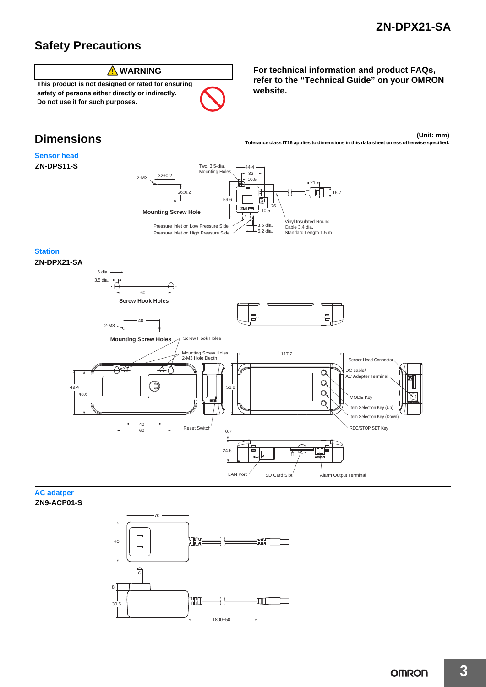### **Safety Precautions**



**safety of persons either directly or indirectly. Do not use it for such purposes.**

### **Dimensions**

### **Sensor head ZN-DPS11-S**



### **Station**





**AC adatper ZN9-ACP01-S**



**For technical information and product FAQs, refer to the "Technical Guide" on your OMRON website.**

**(Unit: mm) Tolerance class IT16 applies to dimensions in this data sheet unless otherwise specified.**

16.7